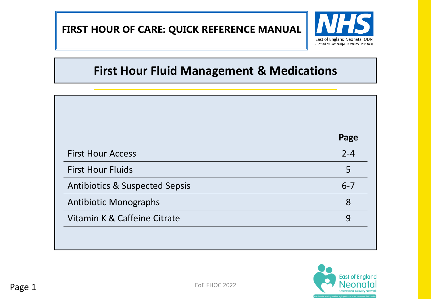**FIRST HOUR OF CARE: QUICK REFERENCE MANUAL**



# **First Hour Fluid Management & Medications**

|                                           | Page    |
|-------------------------------------------|---------|
| <b>First Hour Access</b>                  | $2 - 4$ |
| <b>First Hour Fluids</b>                  | 5       |
| <b>Antibiotics &amp; Suspected Sepsis</b> | $6 - 7$ |
| <b>Antibiotic Monographs</b>              | 8       |
| Vitamin K & Caffeine Citrate              | 9       |

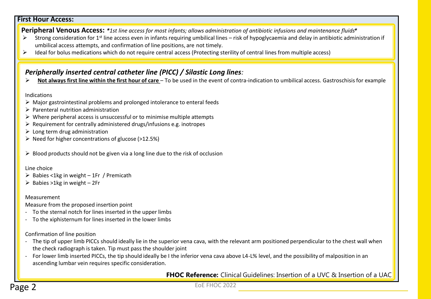## **First Hour Access:**

**Peripheral Venous Access:** *\*1st line access for most infants; allows administration of antibiotic infusions and maintenance fluids\**

- Strong consideration for 1<sup>st</sup> line access even in infants requiring umbilical lines risk of hypoglycaemia and delay in antibiotic administration if umbilical access attempts, and confirmation of line positions, are not timely.
- $\triangleright$  Ideal for bolus medications which do not require central access (Protecting sterility of central lines from multiple access)

## *Peripherally inserted central catheter line (PICC) / Silastic Long lines:*

**Not always first line within the first hour of care** – To be used in the event of contra-indication to umbilical access. Gastroschisisfor example

#### Indications

- $\triangleright$  Major gastrointestinal problems and prolonged intolerance to enteral feeds
- $\triangleright$  Parenteral nutrition administration
- $\triangleright$  Where peripheral access is unsuccessful or to minimise multiple attempts
- $\triangleright$  Requirement for centrally administered drugs/infusions e.g. inotropes
- $\triangleright$  Long term drug administration
- $\triangleright$  Need for higher concentrations of glucose (>12.5%)
- $\triangleright$  Blood products should not be given via a long line due to the risk of occlusion

### Line choice

- $\triangleright$  Babies <1kg in weight 1Fr / Premicath
- $\triangleright$  Babies >1kg in weight 2Fr

## Measurement

Measure from the proposed insertion point

- To the sternal notch for lines inserted in the upper limbs
- To the xiphisternum for lines inserted in the lower limbs

Confirmation of line position

- The tip of upper limb PICCs should ideally lie in the superior vena cava, with the relevant arm positioned perpendicular to the chest wall when the check radiograph is taken. Tip must pass the shoulder joint
- For lower limb inserted PICCs, the tip should ideally be I the inferior vena cava above L4-L% level, and the possibility of malposition in an ascending lumbar vein requires specific consideration.

**FHOC Reference:** Clinical Guidelines: Insertion of a UVC & Insertion of a UAC

EoE FHOC 2022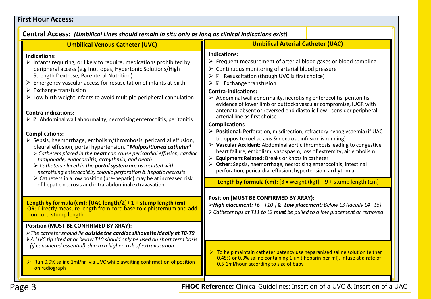## **First Hour Access:**

| <b>Umbilical Arterial Catheter (UAC)</b><br><b>Umbilical Venous Catheter (UVC)</b><br><b>Indications:</b><br><b>Indications:</b><br>$\triangleright$ Frequent measurement of arterial blood gases or blood sampling<br>$\triangleright$ Infants requiring, or likely to require, medications prohibited by<br>$\triangleright$ Continuous monitoring of arterial blood pressure<br>peripheral access (e.g Inotropes, Hypertonic Solutions/High<br>Strength Dextrose, Parenteral Nutrition)<br>▶ 2 Resuscitation (though UVC is first choice)<br>$\triangleright$ Emergency vascular access for resuscitation of infants at birth<br>$\triangleright$ <b>2</b> Exchange transfusion<br>$\triangleright$ Exchange transfusion<br><b>Contra-indications:</b><br>$\triangleright$ Low birth weight infants to avoid multiple peripheral cannulation<br>$\triangleright$ Abdominal wall abnormality, necrotising enterocolitis, peritonitis,<br>evidence of lower limb or buttocks vascular compromise, IUGR with<br>antenatal absent or reversed end diastolic flow - consider peripheral<br><b>Contra-indications:</b><br>arterial line as first choice<br>$\triangleright$ 2 Abdominal wall abnormality, necrotising enterocolitis, peritonitis<br><b>Complications</b><br>> Positional: Perforation, misdirection, refractory hypoglycaemia (if UAC<br><b>Complications:</b><br>tip opposite coeliac axis & dextrose infusion is running)<br>$\triangleright$ Sepsis, haemorrhage, embolism/thrombosis, pericardial effusion,<br>> Vascular Accident: Abdominal aortic thrombosis leading to congestive<br>pleural effusion, portal hypertension, *Malpositioned catheter*<br>heart failure, embolism, vasospasm, loss of extremity, air embolism<br>> Catheters placed in the <b>heart</b> can cause pericardial effusion, cardiac<br>▶ Equipment Related: Breaks or knots in catheter<br>tamponade, endocarditis, arrhythmia, and death<br>> Other: Sepsis, haemorrhage, necrotising enterocolitis, intestinal<br>> Catheters placed in the <b>portal system</b> are associated with<br>perforation, pericardial effusion, hypertension, arrhythmia<br>necrotising enterocolitis, colonic perforation & hepatic necrosis<br>$\triangleright$ Catheters in a low position (pre-hepatic) may be at increased risk<br>Length by formula (cm): $[3 \times weight (kg)] + 9 + stump length (cm)$<br>of hepatic necrosis and intra-abdominal extravasation<br><b>Position (MUST BE CONFIRMED BY XRAY):</b><br>Length by formula (cm): [UAC length/2]+ 1 + stump length (cm)<br>>High placement: T6 - T10   <b>a</b> Low placement: Below L3 (ideally L4 - L5)<br>OR: Directly measure length from cord base to xiphisternum and add<br>> Catheter tips at T11 to L2 must be pulled to a low placement or removed<br>on cord stump length<br><b>Position (MUST BE CONFIRMED BY XRAY):</b><br>> The catheter should lie outside the cardiac silhouette ideally at T8-T9<br>>A UVC tip sited at or below T10 should only be used on short term basis<br>(if considered essential) due to a higher risk of extravasation<br>$\triangleright$ To help maintain catheter patency use heparanised saline solution (either<br>0.45% or 0.9% saline containing 1 unit heparin per ml). Infuse at a rate of<br>$\triangleright$ Run 0.9% saline 1ml/hr via UVC while awaiting confirmation of position<br>0.5-1ml/hour according to size of baby<br>on radiograph | Central Access: (Umbilical Lines should remain in situ only as long as clinical indications exist) |  |  |  |  |
|----------------------------------------------------------------------------------------------------------------------------------------------------------------------------------------------------------------------------------------------------------------------------------------------------------------------------------------------------------------------------------------------------------------------------------------------------------------------------------------------------------------------------------------------------------------------------------------------------------------------------------------------------------------------------------------------------------------------------------------------------------------------------------------------------------------------------------------------------------------------------------------------------------------------------------------------------------------------------------------------------------------------------------------------------------------------------------------------------------------------------------------------------------------------------------------------------------------------------------------------------------------------------------------------------------------------------------------------------------------------------------------------------------------------------------------------------------------------------------------------------------------------------------------------------------------------------------------------------------------------------------------------------------------------------------------------------------------------------------------------------------------------------------------------------------------------------------------------------------------------------------------------------------------------------------------------------------------------------------------------------------------------------------------------------------------------------------------------------------------------------------------------------------------------------------------------------------------------------------------------------------------------------------------------------------------------------------------------------------------------------------------------------------------------------------------------------------------------------------------------------------------------------------------------------------------------------------------------------------------------------------------------------------------------------------------------------------------------------------------------------------------------------------------------------------------------------------------------------------------------------------------------------------------------------------------------------------------------------------------------------------------------------------------------------------------------------------------------------------------------------------------------------------------------------------------------------------------------------------------------------------------------------------------------------------------------------------------------------------------------------------------------------------------------------------------------------|----------------------------------------------------------------------------------------------------|--|--|--|--|
|                                                                                                                                                                                                                                                                                                                                                                                                                                                                                                                                                                                                                                                                                                                                                                                                                                                                                                                                                                                                                                                                                                                                                                                                                                                                                                                                                                                                                                                                                                                                                                                                                                                                                                                                                                                                                                                                                                                                                                                                                                                                                                                                                                                                                                                                                                                                                                                                                                                                                                                                                                                                                                                                                                                                                                                                                                                                                                                                                                                                                                                                                                                                                                                                                                                                                                                                                                                                                                                    |                                                                                                    |  |  |  |  |
|                                                                                                                                                                                                                                                                                                                                                                                                                                                                                                                                                                                                                                                                                                                                                                                                                                                                                                                                                                                                                                                                                                                                                                                                                                                                                                                                                                                                                                                                                                                                                                                                                                                                                                                                                                                                                                                                                                                                                                                                                                                                                                                                                                                                                                                                                                                                                                                                                                                                                                                                                                                                                                                                                                                                                                                                                                                                                                                                                                                                                                                                                                                                                                                                                                                                                                                                                                                                                                                    |                                                                                                    |  |  |  |  |
|                                                                                                                                                                                                                                                                                                                                                                                                                                                                                                                                                                                                                                                                                                                                                                                                                                                                                                                                                                                                                                                                                                                                                                                                                                                                                                                                                                                                                                                                                                                                                                                                                                                                                                                                                                                                                                                                                                                                                                                                                                                                                                                                                                                                                                                                                                                                                                                                                                                                                                                                                                                                                                                                                                                                                                                                                                                                                                                                                                                                                                                                                                                                                                                                                                                                                                                                                                                                                                                    |                                                                                                    |  |  |  |  |
|                                                                                                                                                                                                                                                                                                                                                                                                                                                                                                                                                                                                                                                                                                                                                                                                                                                                                                                                                                                                                                                                                                                                                                                                                                                                                                                                                                                                                                                                                                                                                                                                                                                                                                                                                                                                                                                                                                                                                                                                                                                                                                                                                                                                                                                                                                                                                                                                                                                                                                                                                                                                                                                                                                                                                                                                                                                                                                                                                                                                                                                                                                                                                                                                                                                                                                                                                                                                                                                    |                                                                                                    |  |  |  |  |

**Page 3 FHOC Reference:** Clinical Guidelines: Insertion of a UVC & Insertion of a UAC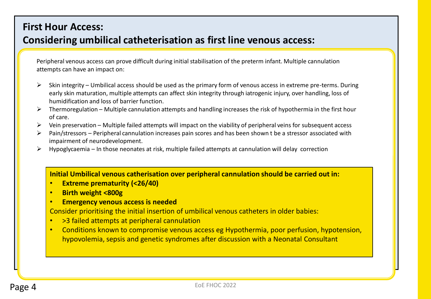## **First Hour Access:**

## **Considering umbilical catheterisation as first line venous access:**

Peripheral venous access can prove difficult during initial stabilisation of the preterm infant. Multiple cannulation attempts can have an impact on:

- Skin integrity Umbilical access should be used as the primary form of venous access in extreme pre-terms. During early skin maturation, multiple attempts can affect skin integrity through iatrogenic injury, over handling, loss of humidification and loss of barrier function.
- $\triangleright$  Thermoregulation Multiple cannulation attempts and handling increases the risk of hypothermia in the first hour of care.
- $\triangleright$  Vein preservation Multiple failed attempts will impact on the viability of peripheral veins for subsequent access
- Pain/stressors Peripheral cannulation increases pain scores and has been shown t be a stressor associated with impairment of neurodevelopment.
- $\triangleright$  Hypoglycaemia In those neonates at risk, multiple failed attempts at cannulation will delay correction

## **Initial Umbilical venous catherisation over peripheral cannulation should be carried out in:**

- **Extreme prematurity (<26/40)**
- **Birth weight <800g**
- **Emergency venous access is needed**

Consider prioritising the initial insertion of umbilical venous catheters in older babies:

- >3 failed attempts at peripheral cannulation
- Conditions known to compromise venous access eg Hypothermia, poor perfusion, hypotension, hypovolemia, sepsis and genetic syndromes after discussion with a Neonatal Consultant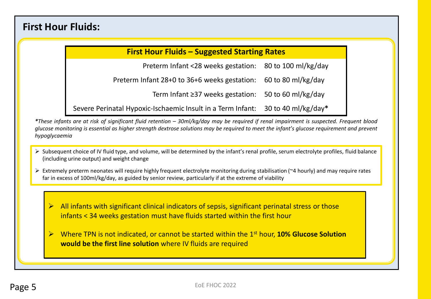## **First Hour Fluids:**

## **First Hour Fluids – Suggested Starting Rates**

Preterm Infant <28 weeks gestation: 80 to 100 ml/kg/day

Preterm Infant 28+0 to 36+6 weeks gestation: 60 to 80 ml/kg/day

Term Infant ≥37 weeks gestation: 50 to 60 ml/kg/day

Severe Perinatal Hypoxic-Ischaemic Insult in a Term Infant: 30 to 40 ml/kg/day**\***

\*These infants are at risk of significant fluid retention – 30ml/kg/day may be required if renal impairment is suspected. Frequent blood glucose monitoring is essential as higher strength dextrose solutions may be required to meet the infant's glucose requirement and prevent *hypoglycaemia*

- Subsequent choice of IV fluid type, and volume, will be determined by the infant's renal profile, serum electrolyte profiles, fluid balance (including urine output) and weight change
- Extremely preterm neonates will require highly frequent electrolyte monitoring during stabilisation (~4 hourly) and may require rates far in excess of 100ml/kg/day, as guided by senior review, particularly if at the extreme of viability

 All infants with significant clinical indicators of sepsis, significant perinatal stress or those infants < 34 weeks gestation must have fluids started within the first hour

 Where TPN is not indicated, or cannot be started within the 1st hour, **10% Glucose Solution would be the first line solution** where IV fluids are required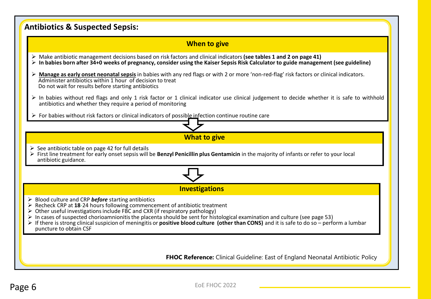| <b>Antibiotics &amp; Suspected Sepsis:</b>                                                                                                                                                                                                                                                                                                                                                                                                                                                                                                  |  |  |  |  |
|---------------------------------------------------------------------------------------------------------------------------------------------------------------------------------------------------------------------------------------------------------------------------------------------------------------------------------------------------------------------------------------------------------------------------------------------------------------------------------------------------------------------------------------------|--|--|--|--|
| <b>When to give</b>                                                                                                                                                                                                                                                                                                                                                                                                                                                                                                                         |  |  |  |  |
| $\triangleright$ Make antibiotic management decisions based on risk factors and clinical indicators (see tables 1 and 2 on page 41)<br>$\triangleright$ In babies born after 34+0 weeks of pregnancy, consider using the Kaiser Sepsis Risk Calculator to guide management (see guideline)                                                                                                                                                                                                                                                  |  |  |  |  |
| Manage as early onset neonatal sepsis in babies with any red flags or with 2 or more 'non-red-flag' risk factors or clinical indicators.<br>Administer antibiotics within 1 hour of decision to treat<br>Do not wait for results before starting antibiotics                                                                                                                                                                                                                                                                                |  |  |  |  |
| > In babies without red flags and only 1 risk factor or 1 clinical indicator use clinical judgement to decide whether it is safe to withhold<br>antibiotics and whether they require a period of monitoring                                                                                                                                                                                                                                                                                                                                 |  |  |  |  |
| $\triangleright$ For babies without risk factors or clinical indicators of possible infection continue routine care                                                                                                                                                                                                                                                                                                                                                                                                                         |  |  |  |  |
|                                                                                                                                                                                                                                                                                                                                                                                                                                                                                                                                             |  |  |  |  |
| <b>What to give</b>                                                                                                                                                                                                                                                                                                                                                                                                                                                                                                                         |  |  |  |  |
| $\triangleright$ See antibiotic table on page 42 for full details<br>> First line treatment for early onset sepsis will be Benzyl Penicillin plus Gentamicin in the majority of infants or refer to your local<br>antibiotic guidance.                                                                                                                                                                                                                                                                                                      |  |  |  |  |
|                                                                                                                                                                                                                                                                                                                                                                                                                                                                                                                                             |  |  |  |  |
| <b>Investigations</b>                                                                                                                                                                                                                                                                                                                                                                                                                                                                                                                       |  |  |  |  |
| $\triangleright$ Blood culture and CRP before starting antibiotics<br>> Recheck CRP at 18-24 hours following commencement of antibiotic treatment<br>Other useful investigations include FBC and CXR (if respiratory pathology)<br>In cases of suspected chorioamnionitis the placenta should be sent for histological examination and culture (see page 53)<br>If there is strong clinical suspicion of meningitis or <b>positive blood culture (other than CONS)</b> and it is safe to do so – perform a lumbar<br>puncture to obtain CSF |  |  |  |  |
| <b>FHOC Reference:</b> Clinical Guideline: East of England Neonatal Antibiotic Policy                                                                                                                                                                                                                                                                                                                                                                                                                                                       |  |  |  |  |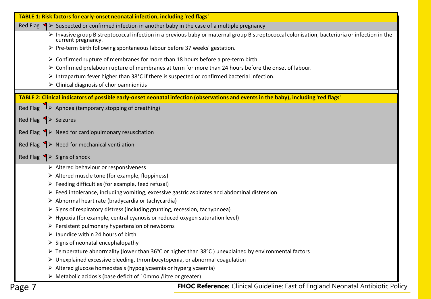| Red Flag $\blacktriangle$ Suspected or confirmed infection in another baby in the case of a multiple pregnancy<br>> Invasive group B streptococcal infection in a previous baby or maternal group B streptococcal colonisation, bacteriuria or infection in the<br>current pregnancy.<br>> Pre-term birth following spontaneous labour before 37 weeks' gestation.<br>$\triangleright$ Confirmed rupture of membranes for more than 18 hours before a pre-term birth.<br>> Confirmed prelabour rupture of membranes at term for more than 24 hours before the onset of labour.<br>$\triangleright$ Intrapartum fever higher than 38°C if there is suspected or confirmed bacterial infection.<br>$\triangleright$ Clinical diagnosis of chorioamnionitis<br>TABLE 2: Clinical indicators of possible early-onset neonatal infection (observations and events in the baby), including 'red flags'<br>Red Flag 1> Apnoea (temporary stopping of breathing)<br>Red Flag $\left\{\rightarrow\right.$ Seizures<br>Red Flag $\blacklozenge$ Need for cardiopulmonary resuscitation<br>Red Flag $\blacktriangleright$ Need for mechanical ventilation<br>Red Flag $\blacktriangle$ Signs of shock<br>$\triangleright$ Altered behaviour or responsiveness<br>> Altered muscle tone (for example, floppiness)<br>$\triangleright$ Feeding difficulties (for example, feed refusal)<br>$\triangleright$ Feed intolerance, including vomiting, excessive gastric aspirates and abdominal distension<br>> Abnormal heart rate (bradycardia or tachycardia)<br>> Signs of respiratory distress (including grunting, recession, tachypnoea)<br>$\triangleright$ Hypoxia (for example, central cyanosis or reduced oxygen saturation level)<br>$\triangleright$ Persistent pulmonary hypertension of newborns<br>$\triangleright$ Jaundice within 24 hours of birth<br>$\triangleright$ Signs of neonatal encephalopathy<br>> Temperature abnormality (lower than 36°C or higher than 38°C) unexplained by environmental factors<br>$\triangleright$ Unexplained excessive bleeding, thrombocytopenia, or abnormal coagulation<br>> Altered glucose homeostasis (hypoglycaemia or hyperglycaemia)<br>> Metabolic acidosis (base deficit of 10mmol/litre or greater)<br>FHOC Reference: Clinical Guideline: East of England Neonatal Antibiotic Policy |        | TABLE 1: Risk factors for early-onset neonatal infection, including 'red flags' |  |  |  |  |  |
|-----------------------------------------------------------------------------------------------------------------------------------------------------------------------------------------------------------------------------------------------------------------------------------------------------------------------------------------------------------------------------------------------------------------------------------------------------------------------------------------------------------------------------------------------------------------------------------------------------------------------------------------------------------------------------------------------------------------------------------------------------------------------------------------------------------------------------------------------------------------------------------------------------------------------------------------------------------------------------------------------------------------------------------------------------------------------------------------------------------------------------------------------------------------------------------------------------------------------------------------------------------------------------------------------------------------------------------------------------------------------------------------------------------------------------------------------------------------------------------------------------------------------------------------------------------------------------------------------------------------------------------------------------------------------------------------------------------------------------------------------------------------------------------------------------------------------------------------------------------------------------------------------------------------------------------------------------------------------------------------------------------------------------------------------------------------------------------------------------------------------------------------------------------------------------------------------------------------------------------------------------------------------------------------------------------------------------------------|--------|---------------------------------------------------------------------------------|--|--|--|--|--|
|                                                                                                                                                                                                                                                                                                                                                                                                                                                                                                                                                                                                                                                                                                                                                                                                                                                                                                                                                                                                                                                                                                                                                                                                                                                                                                                                                                                                                                                                                                                                                                                                                                                                                                                                                                                                                                                                                                                                                                                                                                                                                                                                                                                                                                                                                                                                         |        |                                                                                 |  |  |  |  |  |
|                                                                                                                                                                                                                                                                                                                                                                                                                                                                                                                                                                                                                                                                                                                                                                                                                                                                                                                                                                                                                                                                                                                                                                                                                                                                                                                                                                                                                                                                                                                                                                                                                                                                                                                                                                                                                                                                                                                                                                                                                                                                                                                                                                                                                                                                                                                                         |        |                                                                                 |  |  |  |  |  |
|                                                                                                                                                                                                                                                                                                                                                                                                                                                                                                                                                                                                                                                                                                                                                                                                                                                                                                                                                                                                                                                                                                                                                                                                                                                                                                                                                                                                                                                                                                                                                                                                                                                                                                                                                                                                                                                                                                                                                                                                                                                                                                                                                                                                                                                                                                                                         |        |                                                                                 |  |  |  |  |  |
|                                                                                                                                                                                                                                                                                                                                                                                                                                                                                                                                                                                                                                                                                                                                                                                                                                                                                                                                                                                                                                                                                                                                                                                                                                                                                                                                                                                                                                                                                                                                                                                                                                                                                                                                                                                                                                                                                                                                                                                                                                                                                                                                                                                                                                                                                                                                         |        |                                                                                 |  |  |  |  |  |
|                                                                                                                                                                                                                                                                                                                                                                                                                                                                                                                                                                                                                                                                                                                                                                                                                                                                                                                                                                                                                                                                                                                                                                                                                                                                                                                                                                                                                                                                                                                                                                                                                                                                                                                                                                                                                                                                                                                                                                                                                                                                                                                                                                                                                                                                                                                                         |        |                                                                                 |  |  |  |  |  |
|                                                                                                                                                                                                                                                                                                                                                                                                                                                                                                                                                                                                                                                                                                                                                                                                                                                                                                                                                                                                                                                                                                                                                                                                                                                                                                                                                                                                                                                                                                                                                                                                                                                                                                                                                                                                                                                                                                                                                                                                                                                                                                                                                                                                                                                                                                                                         |        |                                                                                 |  |  |  |  |  |
|                                                                                                                                                                                                                                                                                                                                                                                                                                                                                                                                                                                                                                                                                                                                                                                                                                                                                                                                                                                                                                                                                                                                                                                                                                                                                                                                                                                                                                                                                                                                                                                                                                                                                                                                                                                                                                                                                                                                                                                                                                                                                                                                                                                                                                                                                                                                         |        |                                                                                 |  |  |  |  |  |
|                                                                                                                                                                                                                                                                                                                                                                                                                                                                                                                                                                                                                                                                                                                                                                                                                                                                                                                                                                                                                                                                                                                                                                                                                                                                                                                                                                                                                                                                                                                                                                                                                                                                                                                                                                                                                                                                                                                                                                                                                                                                                                                                                                                                                                                                                                                                         |        |                                                                                 |  |  |  |  |  |
|                                                                                                                                                                                                                                                                                                                                                                                                                                                                                                                                                                                                                                                                                                                                                                                                                                                                                                                                                                                                                                                                                                                                                                                                                                                                                                                                                                                                                                                                                                                                                                                                                                                                                                                                                                                                                                                                                                                                                                                                                                                                                                                                                                                                                                                                                                                                         |        |                                                                                 |  |  |  |  |  |
|                                                                                                                                                                                                                                                                                                                                                                                                                                                                                                                                                                                                                                                                                                                                                                                                                                                                                                                                                                                                                                                                                                                                                                                                                                                                                                                                                                                                                                                                                                                                                                                                                                                                                                                                                                                                                                                                                                                                                                                                                                                                                                                                                                                                                                                                                                                                         |        |                                                                                 |  |  |  |  |  |
|                                                                                                                                                                                                                                                                                                                                                                                                                                                                                                                                                                                                                                                                                                                                                                                                                                                                                                                                                                                                                                                                                                                                                                                                                                                                                                                                                                                                                                                                                                                                                                                                                                                                                                                                                                                                                                                                                                                                                                                                                                                                                                                                                                                                                                                                                                                                         |        |                                                                                 |  |  |  |  |  |
|                                                                                                                                                                                                                                                                                                                                                                                                                                                                                                                                                                                                                                                                                                                                                                                                                                                                                                                                                                                                                                                                                                                                                                                                                                                                                                                                                                                                                                                                                                                                                                                                                                                                                                                                                                                                                                                                                                                                                                                                                                                                                                                                                                                                                                                                                                                                         |        |                                                                                 |  |  |  |  |  |
|                                                                                                                                                                                                                                                                                                                                                                                                                                                                                                                                                                                                                                                                                                                                                                                                                                                                                                                                                                                                                                                                                                                                                                                                                                                                                                                                                                                                                                                                                                                                                                                                                                                                                                                                                                                                                                                                                                                                                                                                                                                                                                                                                                                                                                                                                                                                         |        |                                                                                 |  |  |  |  |  |
|                                                                                                                                                                                                                                                                                                                                                                                                                                                                                                                                                                                                                                                                                                                                                                                                                                                                                                                                                                                                                                                                                                                                                                                                                                                                                                                                                                                                                                                                                                                                                                                                                                                                                                                                                                                                                                                                                                                                                                                                                                                                                                                                                                                                                                                                                                                                         |        |                                                                                 |  |  |  |  |  |
|                                                                                                                                                                                                                                                                                                                                                                                                                                                                                                                                                                                                                                                                                                                                                                                                                                                                                                                                                                                                                                                                                                                                                                                                                                                                                                                                                                                                                                                                                                                                                                                                                                                                                                                                                                                                                                                                                                                                                                                                                                                                                                                                                                                                                                                                                                                                         |        |                                                                                 |  |  |  |  |  |
|                                                                                                                                                                                                                                                                                                                                                                                                                                                                                                                                                                                                                                                                                                                                                                                                                                                                                                                                                                                                                                                                                                                                                                                                                                                                                                                                                                                                                                                                                                                                                                                                                                                                                                                                                                                                                                                                                                                                                                                                                                                                                                                                                                                                                                                                                                                                         |        |                                                                                 |  |  |  |  |  |
|                                                                                                                                                                                                                                                                                                                                                                                                                                                                                                                                                                                                                                                                                                                                                                                                                                                                                                                                                                                                                                                                                                                                                                                                                                                                                                                                                                                                                                                                                                                                                                                                                                                                                                                                                                                                                                                                                                                                                                                                                                                                                                                                                                                                                                                                                                                                         |        |                                                                                 |  |  |  |  |  |
|                                                                                                                                                                                                                                                                                                                                                                                                                                                                                                                                                                                                                                                                                                                                                                                                                                                                                                                                                                                                                                                                                                                                                                                                                                                                                                                                                                                                                                                                                                                                                                                                                                                                                                                                                                                                                                                                                                                                                                                                                                                                                                                                                                                                                                                                                                                                         |        |                                                                                 |  |  |  |  |  |
|                                                                                                                                                                                                                                                                                                                                                                                                                                                                                                                                                                                                                                                                                                                                                                                                                                                                                                                                                                                                                                                                                                                                                                                                                                                                                                                                                                                                                                                                                                                                                                                                                                                                                                                                                                                                                                                                                                                                                                                                                                                                                                                                                                                                                                                                                                                                         |        |                                                                                 |  |  |  |  |  |
|                                                                                                                                                                                                                                                                                                                                                                                                                                                                                                                                                                                                                                                                                                                                                                                                                                                                                                                                                                                                                                                                                                                                                                                                                                                                                                                                                                                                                                                                                                                                                                                                                                                                                                                                                                                                                                                                                                                                                                                                                                                                                                                                                                                                                                                                                                                                         |        |                                                                                 |  |  |  |  |  |
|                                                                                                                                                                                                                                                                                                                                                                                                                                                                                                                                                                                                                                                                                                                                                                                                                                                                                                                                                                                                                                                                                                                                                                                                                                                                                                                                                                                                                                                                                                                                                                                                                                                                                                                                                                                                                                                                                                                                                                                                                                                                                                                                                                                                                                                                                                                                         |        |                                                                                 |  |  |  |  |  |
|                                                                                                                                                                                                                                                                                                                                                                                                                                                                                                                                                                                                                                                                                                                                                                                                                                                                                                                                                                                                                                                                                                                                                                                                                                                                                                                                                                                                                                                                                                                                                                                                                                                                                                                                                                                                                                                                                                                                                                                                                                                                                                                                                                                                                                                                                                                                         |        |                                                                                 |  |  |  |  |  |
|                                                                                                                                                                                                                                                                                                                                                                                                                                                                                                                                                                                                                                                                                                                                                                                                                                                                                                                                                                                                                                                                                                                                                                                                                                                                                                                                                                                                                                                                                                                                                                                                                                                                                                                                                                                                                                                                                                                                                                                                                                                                                                                                                                                                                                                                                                                                         |        |                                                                                 |  |  |  |  |  |
|                                                                                                                                                                                                                                                                                                                                                                                                                                                                                                                                                                                                                                                                                                                                                                                                                                                                                                                                                                                                                                                                                                                                                                                                                                                                                                                                                                                                                                                                                                                                                                                                                                                                                                                                                                                                                                                                                                                                                                                                                                                                                                                                                                                                                                                                                                                                         |        |                                                                                 |  |  |  |  |  |
|                                                                                                                                                                                                                                                                                                                                                                                                                                                                                                                                                                                                                                                                                                                                                                                                                                                                                                                                                                                                                                                                                                                                                                                                                                                                                                                                                                                                                                                                                                                                                                                                                                                                                                                                                                                                                                                                                                                                                                                                                                                                                                                                                                                                                                                                                                                                         |        |                                                                                 |  |  |  |  |  |
|                                                                                                                                                                                                                                                                                                                                                                                                                                                                                                                                                                                                                                                                                                                                                                                                                                                                                                                                                                                                                                                                                                                                                                                                                                                                                                                                                                                                                                                                                                                                                                                                                                                                                                                                                                                                                                                                                                                                                                                                                                                                                                                                                                                                                                                                                                                                         |        |                                                                                 |  |  |  |  |  |
|                                                                                                                                                                                                                                                                                                                                                                                                                                                                                                                                                                                                                                                                                                                                                                                                                                                                                                                                                                                                                                                                                                                                                                                                                                                                                                                                                                                                                                                                                                                                                                                                                                                                                                                                                                                                                                                                                                                                                                                                                                                                                                                                                                                                                                                                                                                                         |        |                                                                                 |  |  |  |  |  |
|                                                                                                                                                                                                                                                                                                                                                                                                                                                                                                                                                                                                                                                                                                                                                                                                                                                                                                                                                                                                                                                                                                                                                                                                                                                                                                                                                                                                                                                                                                                                                                                                                                                                                                                                                                                                                                                                                                                                                                                                                                                                                                                                                                                                                                                                                                                                         | Page 7 |                                                                                 |  |  |  |  |  |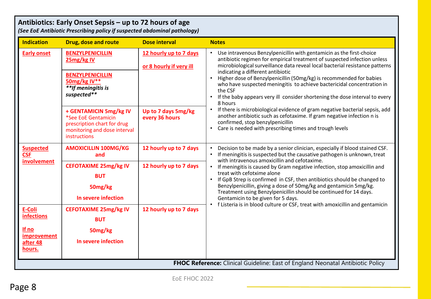## **Antibiotics: Early Onset Sepsis – up to 72 hours of age**

*(See EoE Antibiotic Prescribing policy if suspected abdominal pathology)*

| <b>Indication</b>                                                              | Drug, dose and route                                                                                                                                                  | <b>Dose interval</b>                                                                                                              | <b>Notes</b>                                                                                                                                                                                                                                                                                                                                                                                                                                                                                                                                                                                                                         |  |
|--------------------------------------------------------------------------------|-----------------------------------------------------------------------------------------------------------------------------------------------------------------------|-----------------------------------------------------------------------------------------------------------------------------------|--------------------------------------------------------------------------------------------------------------------------------------------------------------------------------------------------------------------------------------------------------------------------------------------------------------------------------------------------------------------------------------------------------------------------------------------------------------------------------------------------------------------------------------------------------------------------------------------------------------------------------------|--|
| <b>Early onset</b>                                                             | <b>BENZYLPENICILLIN</b><br>25mg/kg IV<br><b>BENZYLPENICILLIN</b><br>50mg/kg IV**<br>**If meningitis is<br>suspected**<br>+ GENTAMICIN 5mg/kg IV                       | 12 hourly up to 7 days<br>or 8 hourly if very ill<br>Up to 7 days 5mg/kg                                                          | Use intravenous Benzylpenicillin with gentamicin as the first-choice<br>$\bullet$<br>antibiotic regimen for empirical treatment of suspected infection unless<br>microbiological surveillance data reveal local bacterial resistance patterns<br>indicating a different antibiotic<br>Higher dose of Benzylpenicillin (50mg/kg) is recommended for babies<br>who have suspected meningitis to achieve bactericidal concentration in<br>the CSF<br>If the baby appears very ill consider shortening the dose interval to every<br>8 hours<br>If there is microbiological evidence of gram negative bacterial sepsis, add<br>$\bullet$ |  |
|                                                                                | *See EoE Gentamicin<br>every 36 hours<br>confirmed, stop benzylpenicillin<br>prescription chart for drug<br>$\bullet$<br>monitoring and dose interval<br>instructions | another antibiotic such as cefotaxime. If gram negative infection n is<br>Care is needed with prescribing times and trough levels |                                                                                                                                                                                                                                                                                                                                                                                                                                                                                                                                                                                                                                      |  |
| <b>Suspected</b><br><b>CSF</b><br>involvement                                  | <b>AMOXICILLIN 100MG/KG</b><br>and                                                                                                                                    | 12 hourly up to 7 days                                                                                                            | Decision to be made by a senior clinician, especially if blood stained CSF.<br>If meningitis is suspected but the causative pathogen is unknown, treat<br>with intravenous amoxicillin and cefotaxime.                                                                                                                                                                                                                                                                                                                                                                                                                               |  |
|                                                                                | <b>CEFOTAXIME 25mg/kg IV</b><br><b>BUT</b><br>50mg/kg<br>In severe infection                                                                                          | 12 hourly up to 7 days                                                                                                            | If meningitis is caused by Gram negative infection, stop amoxicillin and<br>$\bullet$<br>treat with cefotxime alone<br>If GpB Strep is confirmed in CSF, then antibiotics should be changed to<br>$\bullet$<br>Benzylpenicillin, giving a dose of 50mg/kg and gentamicin 5mg/kg.<br>Treatment using Benzylpenicillin should be continued for 14 days.<br>Gentamicin to be given for 5 days.<br>f Listeria is in blood culture or CSF, treat with amoxicillin and gentamicin<br>$\bullet$                                                                                                                                             |  |
| <b>E-Coli</b><br><b>infections</b>                                             | <b>CEFOTAXIME 25mg/kg IV</b><br><b>BUT</b>                                                                                                                            | 12 hourly up to 7 days                                                                                                            |                                                                                                                                                                                                                                                                                                                                                                                                                                                                                                                                                                                                                                      |  |
| If no<br>improvement<br>after 48<br>hours.                                     | 50mg/kg<br>In severe infection                                                                                                                                        |                                                                                                                                   |                                                                                                                                                                                                                                                                                                                                                                                                                                                                                                                                                                                                                                      |  |
| FHOC Reference: Clinical Guideline: East of England Neonatal Antibiotic Policy |                                                                                                                                                                       |                                                                                                                                   |                                                                                                                                                                                                                                                                                                                                                                                                                                                                                                                                                                                                                                      |  |